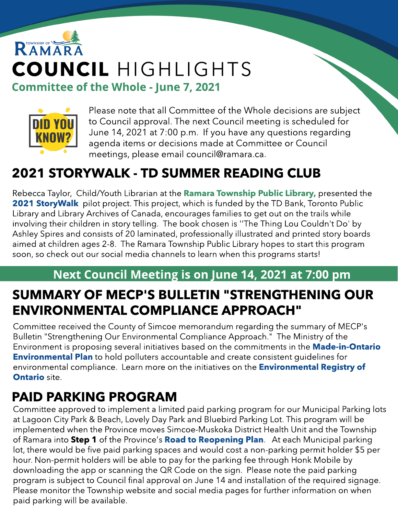# RAMAR COUNCIL HIGHLIGHTS Committee of the Whole - June 7, 2021



Please note that all Committee of the Whole decisions are subject to Council approval. The next Council meeting is scheduled for June 14, 2021 at 7:00 p.m. If you have any questions regarding agenda items or decisions made at Committee or Council meetings, please email council@ramara.ca.

# 2021 STORYWALK - TD SUMMER READING CLUB

Rebecca Taylor, Child/Youth Librarian at the **[Ramara](https://www.ramarapubliclibrary.org/client/en_US/Ramara/) Tow[nship](https://www.ramarapubliclibrary.org/client/en_US/Ramara/) [Public](https://www.ramarapubliclibrary.org/client/en_US/Ramara/) Library**, presented the **[2021](https://letsmovelibraries.org/storywalk/) [StoryWalk](https://letsmovelibraries.org/storywalk/)** pilot project. This project, which is funded by the TD Bank, Toronto Public Library and Library Archives of Canada, encourages families to get out on the trails while involving their children in story telling. The book chosen is ''The Thing Lou Couldn't Do' by Ashley Spires and consists of 20 laminated, professionally illustrated and printed story boards aimed at children ages 2-8. The Ramara Township Public Library hopes to start this program soon, so check out our social media channels to learn when this programs starts!

#### Next Council Meeting is on June 14, 2021 at 7:00 pm

# SUMMARY OF MECP'S BULLETIN "STRENGTHENING OUR ENVIRONMENTAL COMPLIANCE APPROACH"

Committee received the County of Simcoe memorandum regarding the summary of MECP's Bulletin "Strengthening Our Environmental Compliance Approach." The Ministry of the Environment is proposing several initiatives based on the commitments in the **[Made-in-Ontario](https://www.ontario.ca/page/made-in-ontario-environment-plan#:~:text=On%20November%2029%2C%202018%2C%20our,communities%20prepare%20for%20climate%20change.) [Environmental](https://www.ontario.ca/page/made-in-ontario-environment-plan#:~:text=On%20November%2029%2C%202018%2C%20our,communities%20prepare%20for%20climate%20change.) [Plan](https://www.ontario.ca/page/made-in-ontario-environment-plan#:~:text=On%20November%2029%2C%202018%2C%20our,communities%20prepare%20for%20climate%20change.)** to hold polluters accountable and create consistent guidelines for environmental compliance. Learn more on the initiatives on the **[Environmental](https://ero.ontario.ca/notice/019-3268) [Registry](https://ero.ontario.ca/notice/019-3268) [of](https://ero.ontario.ca/notice/019-3268) [Ontario](https://ero.ontario.ca/notice/019-3268) site.** 

# PAID PARKING PROGRAM

Committee approved to implement a limited paid parking program for our Municipal Parking lots at Lagoon City Park & Beach, Lovely Day Park and Bluebird Parking Lot. This program will be implemented when the Province moves Simcoe-Muskoka District Health Unit and the Township of Ramara into Step 1 of the Province's [Road](https://news.ontario.ca/en/backgrounder/1000159/roadmap-to-reopen) [to](https://news.ontario.ca/en/backgrounder/1000159/roadmap-to-reopen) [Reopening](https://news.ontario.ca/en/backgrounder/1000159/roadmap-to-reopen) [Plan](https://news.ontario.ca/en/backgrounder/1000159/roadmap-to-reopen). At each Municipal parking lot, there would be five paid parking spaces and would cost a non-parking permit holder \$5 per hour. Non-permit holders will be able to pay for the parking fee through Honk Mobile by downloading the app or scanning the QRCode on the sign. Please note the paid parking program is subject to Council final approval on June 14 and installation of the required signage. Please monitor the Township website and social media pages for further information on when paid parking will be available.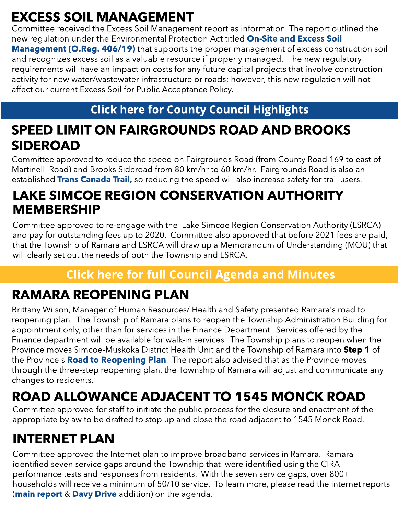# EXCESS SOIL MANAGEMENT

Committee received the Excess Soil Management report as information. The report outlined the new regulation under the Environmental Protection Act titled [On-Site](https://www.ontario.ca/laws/regulation/r19406) [and](https://www.ontario.ca/laws/regulation/r19406) [Excess](https://www.ontario.ca/laws/regulation/r19406) [Soil](https://www.ontario.ca/laws/regulation/r19406) [Management](https://www.ontario.ca/laws/regulation/r19406) [\(O.Reg.](https://www.ontario.ca/laws/regulation/r19406) [406/19\)](https://www.ontario.ca/laws/regulation/r19406) that supports the proper management of excess construction soil and recognizes excess soil as a valuable resource if properly managed. The new regulatory requirements will have an impact on costs for any future capital projects that involve construction activity for new water/wastewater infrastructure or roads; however, this new regulation will not affect our current Excess Soil for Public Acceptance Policy.

#### **[Click](https://www.simcoe.ca/dpt/ccd/newsletters) [here](https://www.simcoe.ca/dpt/ccd/newsletters) [for](https://www.simcoe.ca/dpt/ccd/newsletters) [Count](https://www.simcoe.ca/dpt/ccd/newsletters)y [Council](https://www.simcoe.ca/dpt/ccd/newsletters) [Highlight](https://www.simcoe.ca/dpt/ccd/newsletters)s**

## SPEED LIMIT ON FAIRGROUNDS ROAD AND BROOKS SIDEROAD

Committee approved to reduce the speed on Fairgrounds Road (from County Road 169 to east of Martinelli Road) and Brooks Sideroad from 80 km/hr to 60 km/hr. Fairgrounds Road is also an established [Trans](https://tctrail.ca/explore-the-map/#understand) [Canada](https://tctrail.ca/explore-the-map/#understand) [Trail,](https://tctrail.ca/explore-the-map/#understand) so reducing the speed will also increase safety for trail users.

### LAKE SIMCOE REGION CONSERVATION AUTHORITY MEMBERSHIP

Committee approved to re-engage with the Lake Simcoe Region Conservation Authority (LSRCA) and pay for outstanding fees up to 2020. Committee also approved that before 2021 fees are paid, that the Township of Ramara and LSRCA will draw up a Memorandum of Understanding (MOU) that will clearly set out the needs of both the Township and LSRCA.

### **[Click](https://ramara.civicweb.net/portal/) [here](https://ramara.civicweb.net/portal/) [for](https://ramara.civicweb.net/portal/) [full](https://ramara.civicweb.net/portal/) [Council](https://ramara.civicweb.net/portal/) [Agenda](https://ramara.civicweb.net/portal/) [and](https://ramara.civicweb.net/portal/) [Minut](https://ramara.civicweb.net/portal/)es**

# RAMARA REOPENING PLAN

Brittany Wilson, Manager of Human Resources/ Health and Safety presented Ramara's road to reopening plan. The Township of Ramara plans to reopen the Township Administration Building for appointment only, other than for services in the Finance Department. Services offered by the Finance department will be available for walk-in services. The Township plans to reopen when the Province moves Simcoe-Muskoka District Health Unit and the Township of Ramara into Step 1 of the Province's [Road](https://news.ontario.ca/en/backgrounder/1000159/roadmap-to-reopen) [to](https://news.ontario.ca/en/backgrounder/1000159/roadmap-to-reopen) [Reopening](https://news.ontario.ca/en/backgrounder/1000159/roadmap-to-reopen) [Plan](https://news.ontario.ca/en/backgrounder/1000159/roadmap-to-reopen). The report also advised that as the Province moves through the three-step reopening plan, the Township of Ramara will adjust and communicate any changes to residents.

# ROAD ALLOWANCE ADJACENT TO 1545 MONCK ROAD

Committee approved for staff to initiate the public process for the closure and enactment of the appropriate bylaw to be drafted to stop up and close the road adjacent to 1545 Monck Road.

# INTERNET PLAN

Committee approved the Internet plan to improve broadband services in Ramara. Ramara identified seven service gaps around the Township that were identified using the CIRA performance tests and responses from residents. With the seven service gaps, over 800+ households will receive a minimum of 50/10 service. To learn more, please read the internet reports ([main](https://ramara.civicweb.net/document/48760/Internet%20Plan.pdf?handle=F8B72368D4794F00A8F62F61F6E373F1) [report](https://ramara.civicweb.net/document/48760/Internet%20Plan.pdf?handle=F8B72368D4794F00A8F62F61F6E373F1) & [Davy](https://ramara.civicweb.net/document/48907/Internet%20Update%20-%20Davy%20Drive.pdf?handle=4DC0002BEE5E4C99B59A5866028823C4) [Drive](https://ramara.civicweb.net/document/48907/Internet%20Update%20-%20Davy%20Drive.pdf?handle=4DC0002BEE5E4C99B59A5866028823C4) addition) on the agenda.